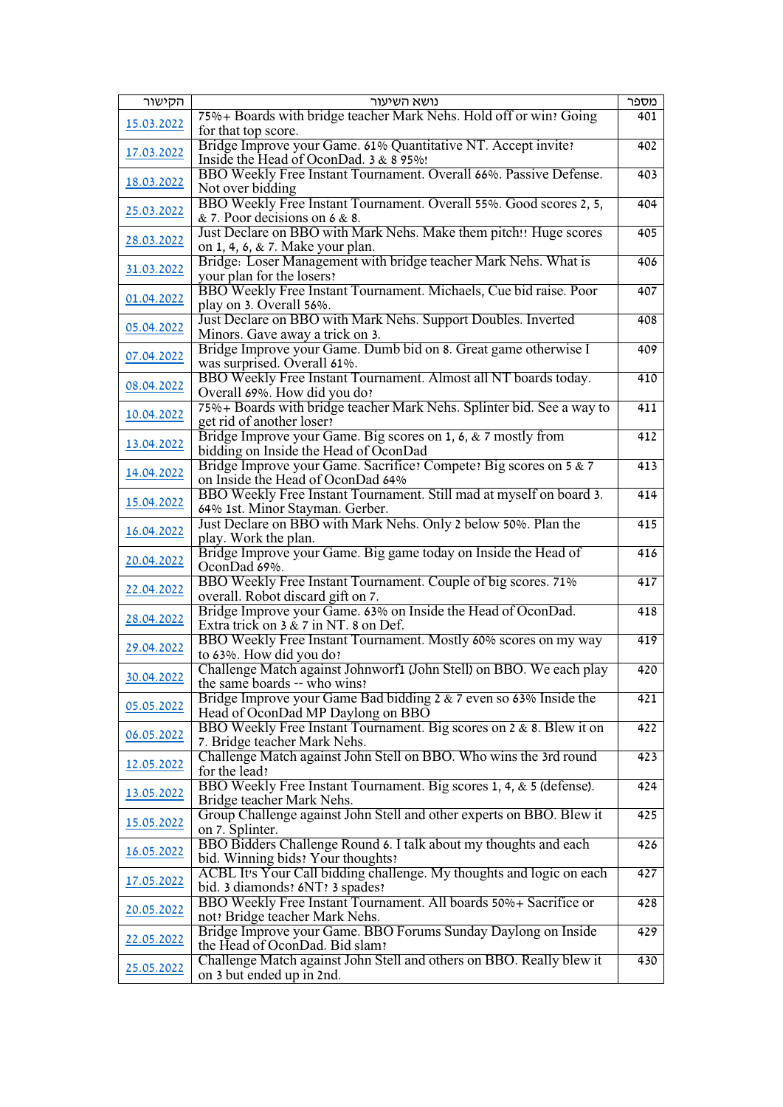| הקישור     | נושא השיעור                                                            | מספר             |
|------------|------------------------------------------------------------------------|------------------|
|            | 75% + Boards with bridge teacher Mark Nehs. Hold off or win! Going     | 401              |
| 15.03.2022 | for that top score.                                                    |                  |
|            | Bridge Improve your Game. 61% Quantitative NT. Accept invite?          | 402              |
| 17.03.2022 |                                                                        |                  |
|            | Inside the Head of OconDad. 3 & 8 95%!                                 |                  |
| 18.03.2022 | BBO Weekly Free Instant Tournament. Overall 66%. Passive Defense.      | 403              |
|            | Not over bidding                                                       |                  |
|            | BBO Weekly Free Instant Tournament. Overall 55%. Good scores 2, 5,     | 404              |
| 25.03.2022 | $& 7.$ Poor decisions on 6 $& 8.$                                      |                  |
|            | Just Declare on BBO with Mark Nehs. Make them pitch!! Huge scores      | 405              |
| 28.03.2022 |                                                                        |                  |
|            | on 1, 4, 6, & 7. Make your plan.                                       |                  |
| 31.03.2022 | Bridge: Loser Management with bridge teacher Mark Nehs. What is        | 406              |
|            | your plan for the losers?                                              |                  |
|            | BBO Weekly Free Instant Tournament. Michaels, Cue bid raise. Poor      | 407              |
| 01.04.2022 | play on 3. Overall 56%.                                                |                  |
|            | Just Declare on BBO with Mark Nehs. Support Doubles. Inverted          | 408              |
| 05.04.2022 |                                                                        |                  |
|            | Minors. Gave away a trick on 3.                                        |                  |
| 07.04.2022 | Bridge Improve your Game. Dumb bid on 8. Great game otherwise I        | 409              |
|            | was surprised. Overall 61%.                                            |                  |
|            | BBO Weekly Free Instant Tournament. Almost all NT boards today.        | 410              |
| 08.04.2022 | Overall 69%. How did you do?                                           |                  |
|            | 75% + Boards with bridge teacher Mark Nehs. Splinter bid. See a way to | 411              |
| 10.04.2022 | get rid of another loser?                                              |                  |
|            |                                                                        |                  |
| 13.04.2022 | Bridge Improve your Game. Big scores on 1, 6, & 7 mostly from          | 412              |
|            | bidding on Inside the Head of OconDad                                  |                  |
| 14.04.2022 | Bridge Improve your Game. Sacrifice: Compete: Big scores on 5 & 7      | 413              |
|            | on Inside the Head of OconDad 64%                                      |                  |
|            | BBO Weekly Free Instant Tournament. Still mad at myself on board 3.    | 414              |
| 15.04.2022 | 64% 1st. Minor Stayman. Gerber.                                        |                  |
|            |                                                                        |                  |
| 16.04.2022 | Just Declare on BBO with Mark Nehs. Only 2 below 50%. Plan the         | 415              |
|            | play. Work the plan.                                                   |                  |
| 20.04.2022 | Bridge Improve your Game. Big game today on Inside the Head of         | 416              |
|            | OconDad 69%.                                                           |                  |
|            | BBO Weekly Free Instant Tournament. Couple of big scores. 71%          | 417              |
| 22.04.2022 | overall. Robot discard gift on 7.                                      |                  |
|            | Bridge Improve your Game. 63% on Inside the Head of OconDad.           | 418              |
| 28.04.2022 |                                                                        |                  |
|            | Extra trick on $3 \& 7$ in NT. 8 on Def.                               |                  |
| 29.04.2022 | BBO Weekly Free Instant Tournament. Mostly 60% scores on my way        | 419              |
|            | to 63%. How did you do?                                                |                  |
|            | Challenge Match against Johnworf1 (John Stell) on BBO. We each play    | 420              |
| 30.04.2022 | the same boards -- who wins?                                           |                  |
|            | Bridge Improve your Game Bad bidding $2 \& 7$ even so 63% Inside the   | 421              |
| 05.05.2022 | Head of OconDad MP Daylong on BBO                                      |                  |
|            |                                                                        |                  |
| 06.05.2022 | BBO Weekly Free Instant Tournament. Big scores on 2 & 8. Blew it on    | 422              |
|            | 7. Bridge teacher Mark Nehs.                                           |                  |
|            | Challenge Match against John Stell on BBO. Who wins the 3rd round      | $\overline{423}$ |
| 12.05.2022 | for the lead?                                                          |                  |
|            | BBO Weekly Free Instant Tournament. Big scores 1, 4, & 5 (defense).    | 424              |
| 13.05.2022 | Bridge teacher Mark Nehs.                                              |                  |
|            | Group Challenge against John Stell and other experts on BBO. Blew it   | 425              |
| 15.05.2022 |                                                                        |                  |
|            | on 7. Splinter.                                                        |                  |
| 16.05.2022 | BBO Bidders Challenge Round 6. I talk about my thoughts and each       | 426              |
|            | bid. Winning bids? Your thoughts?                                      |                  |
|            | ACBL It's Your Call bidding challenge. My thoughts and logic on each   | 427              |
| 17.05.2022 | bid. 3 diamonds: 6NT: 3 spades:                                        |                  |
|            | BBO Weekly Free Instant Tournament. All boards 50%+ Sacrifice or       | 428              |
| 20.05.2022 | not? Bridge teacher Mark Nehs.                                         |                  |
|            |                                                                        |                  |
| 22.05.2022 | Bridge Improve your Game. BBO Forums Sunday Daylong on Inside          | 429              |
|            | the Head of OconDad. Bid slam?                                         |                  |
|            | Challenge Match against John Stell and others on BBO. Really blew it   | 430              |
| 25.05.2022 | on 3 but ended up in 2nd.                                              |                  |